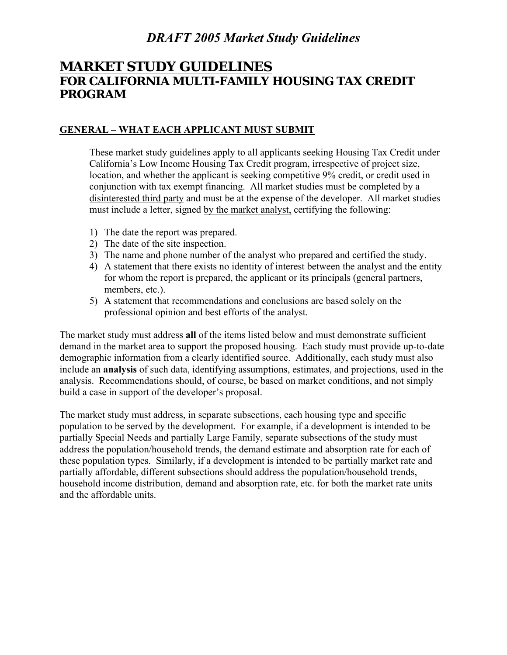### **MARKET STUDY GUIDELINES FOR CALIFORNIA MULTI-FAMILY HOUSING TAX CREDIT PROGRAM**

#### **GENERAL – WHAT EACH APPLICANT MUST SUBMIT**

These market study guidelines apply to all applicants seeking Housing Tax Credit under California's Low Income Housing Tax Credit program, irrespective of project size, location, and whether the applicant is seeking competitive 9% credit, or credit used in conjunction with tax exempt financing. All market studies must be completed by a disinterested third party and must be at the expense of the developer. All market studies must include a letter, signed by the market analyst, certifying the following:

- 1) The date the report was prepared.
- 2) The date of the site inspection.
- 3) The name and phone number of the analyst who prepared and certified the study.
- 4) A statement that there exists no identity of interest between the analyst and the entity for whom the report is prepared, the applicant or its principals (general partners, members, etc.).
- 5) A statement that recommendations and conclusions are based solely on the professional opinion and best efforts of the analyst.

The market study must address **all** of the items listed below and must demonstrate sufficient demand in the market area to support the proposed housing. Each study must provide up-to-date demographic information from a clearly identified source. Additionally, each study must also include an **analysis** of such data, identifying assumptions, estimates, and projections, used in the analysis. Recommendations should, of course, be based on market conditions, and not simply build a case in support of the developer's proposal.

The market study must address, in separate subsections, each housing type and specific population to be served by the development. For example, if a development is intended to be partially Special Needs and partially Large Family, separate subsections of the study must address the population/household trends, the demand estimate and absorption rate for each of these population types. Similarly, if a development is intended to be partially market rate and partially affordable, different subsections should address the population/household trends, household income distribution, demand and absorption rate, etc. for both the market rate units and the affordable units.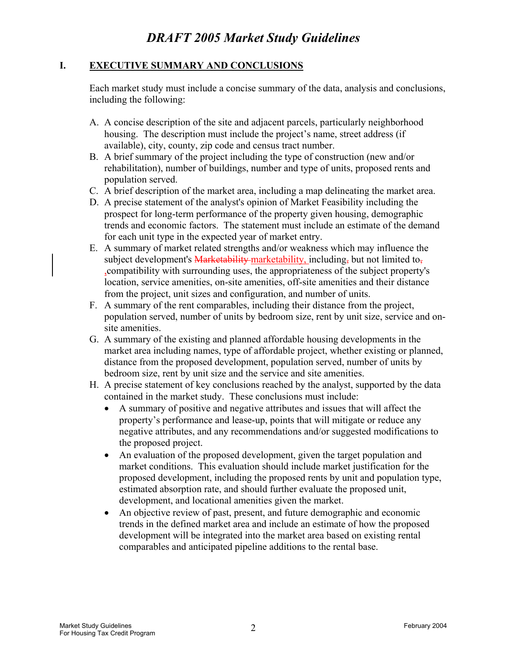#### **I. EXECUTIVE SUMMARY AND CONCLUSIONS**

Each market study must include a concise summary of the data, analysis and conclusions, including the following:

- A. A concise description of the site and adjacent parcels, particularly neighborhood housing. The description must include the project's name, street address (if available), city, county, zip code and census tract number.
- B. A brief summary of the project including the type of construction (new and/or rehabilitation), number of buildings, number and type of units, proposed rents and population served.
- C. A brief description of the market area, including a map delineating the market area.
- D. A precise statement of the analyst's opinion of Market Feasibility including the prospect for long-term performance of the property given housing, demographic trends and economic factors. The statement must include an estimate of the demand for each unit type in the expected year of market entry.
- E. A summary of market related strengths and/or weakness which may influence the subject development's Marketability-marketability, including, but not limited to, ,compatibility with surrounding uses, the appropriateness of the subject property's location, service amenities, on-site amenities, off-site amenities and their distance from the project, unit sizes and configuration, and number of units.
- F. A summary of the rent comparables, including their distance from the project, population served, number of units by bedroom size, rent by unit size, service and onsite amenities.
- G. A summary of the existing and planned affordable housing developments in the market area including names, type of affordable project, whether existing or planned, distance from the proposed development, population served, number of units by bedroom size, rent by unit size and the service and site amenities.
- H. A precise statement of key conclusions reached by the analyst, supported by the data contained in the market study. These conclusions must include:
	- A summary of positive and negative attributes and issues that will affect the property's performance and lease-up, points that will mitigate or reduce any negative attributes, and any recommendations and/or suggested modifications to the proposed project.
	- An evaluation of the proposed development, given the target population and market conditions. This evaluation should include market justification for the proposed development, including the proposed rents by unit and population type, estimated absorption rate, and should further evaluate the proposed unit, development, and locational amenities given the market.
	- An objective review of past, present, and future demographic and economic trends in the defined market area and include an estimate of how the proposed development will be integrated into the market area based on existing rental comparables and anticipated pipeline additions to the rental base.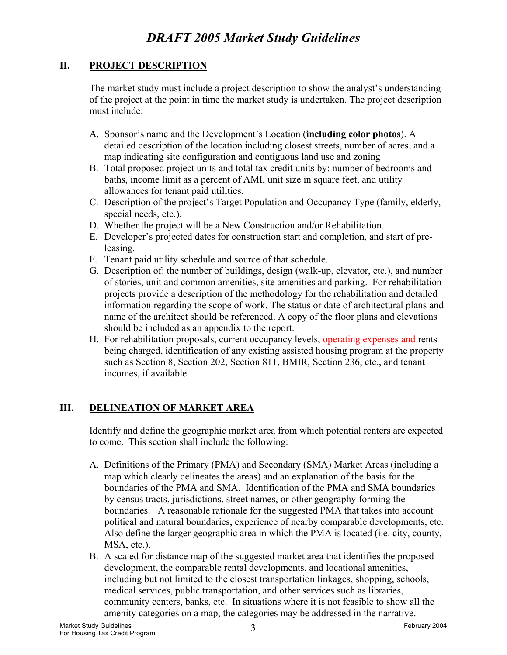#### **II. PROJECT DESCRIPTION**

The market study must include a project description to show the analyst's understanding of the project at the point in time the market study is undertaken. The project description must include:

- A. Sponsor's name and the Development's Location (**including color photos**). A detailed description of the location including closest streets, number of acres, and a map indicating site configuration and contiguous land use and zoning
- B. Total proposed project units and total tax credit units by: number of bedrooms and baths, income limit as a percent of AMI, unit size in square feet, and utility allowances for tenant paid utilities.
- C. Description of the project's Target Population and Occupancy Type (family, elderly, special needs, etc.).
- D. Whether the project will be a New Construction and/or Rehabilitation.
- E. Developer's projected dates for construction start and completion, and start of preleasing.
- F. Tenant paid utility schedule and source of that schedule.
- G. Description of: the number of buildings, design (walk-up, elevator, etc.), and number of stories, unit and common amenities, site amenities and parking. For rehabilitation projects provide a description of the methodology for the rehabilitation and detailed information regarding the scope of work. The status or date of architectural plans and name of the architect should be referenced. A copy of the floor plans and elevations should be included as an appendix to the report.
- H. For rehabilitation proposals, current occupancy levels, operating expenses and rents being charged, identification of any existing assisted housing program at the property such as Section 8, Section 202, Section 811, BMIR, Section 236, etc., and tenant incomes, if available.

#### **III. DELINEATION OF MARKET AREA**

Identify and define the geographic market area from which potential renters are expected to come. This section shall include the following:

- A. Definitions of the Primary (PMA) and Secondary (SMA) Market Areas (including a map which clearly delineates the areas) and an explanation of the basis for the boundaries of the PMA and SMA. Identification of the PMA and SMA boundaries by census tracts, jurisdictions, street names, or other geography forming the boundaries. A reasonable rationale for the suggested PMA that takes into account political and natural boundaries, experience of nearby comparable developments, etc. Also define the larger geographic area in which the PMA is located (i.e. city, county, MSA, etc.).
- B. A scaled for distance map of the suggested market area that identifies the proposed development, the comparable rental developments, and locational amenities, including but not limited to the closest transportation linkages, shopping, schools, medical services, public transportation, and other services such as libraries, community centers, banks, etc. In situations where it is not feasible to show all the amenity categories on a map, the categories may be addressed in the narrative.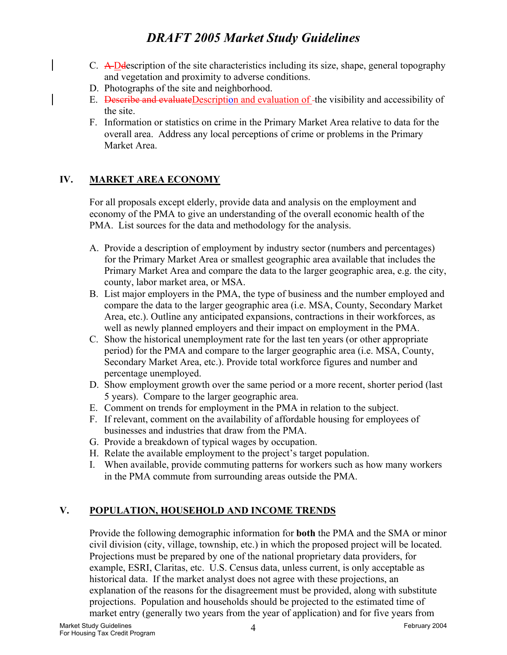- C. A Ddescription of the site characteristics including its size, shape, general topography and vegetation and proximity to adverse conditions.
- D. Photographs of the site and neighborhood.
- E. Describe and evaluateDescription and evaluation of the visibility and accessibility of the site.
- F. Information or statistics on crime in the Primary Market Area relative to data for the overall area. Address any local perceptions of crime or problems in the Primary Market Area.

#### **IV. MARKET AREA ECONOMY**

For all proposals except elderly, provide data and analysis on the employment and economy of the PMA to give an understanding of the overall economic health of the PMA. List sources for the data and methodology for the analysis.

- A. Provide a description of employment by industry sector (numbers and percentages) for the Primary Market Area or smallest geographic area available that includes the Primary Market Area and compare the data to the larger geographic area, e.g. the city, county, labor market area, or MSA.
- B. List major employers in the PMA, the type of business and the number employed and compare the data to the larger geographic area (i.e. MSA, County, Secondary Market Area, etc.). Outline any anticipated expansions, contractions in their workforces, as well as newly planned employers and their impact on employment in the PMA.
- C. Show the historical unemployment rate for the last ten years (or other appropriate period) for the PMA and compare to the larger geographic area (i.e. MSA, County, Secondary Market Area, etc.). Provide total workforce figures and number and percentage unemployed.
- D. Show employment growth over the same period or a more recent, shorter period (last 5 years). Compare to the larger geographic area.
- E. Comment on trends for employment in the PMA in relation to the subject.
- F. If relevant, comment on the availability of affordable housing for employees of businesses and industries that draw from the PMA.
- G. Provide a breakdown of typical wages by occupation.
- H. Relate the available employment to the project's target population.
- I. When available, provide commuting patterns for workers such as how many workers in the PMA commute from surrounding areas outside the PMA.

#### **V. POPULATION, HOUSEHOLD AND INCOME TRENDS**

Provide the following demographic information for **both** the PMA and the SMA or minor civil division (city, village, township, etc.) in which the proposed project will be located. Projections must be prepared by one of the national proprietary data providers, for example, ESRI, Claritas, etc. U.S. Census data, unless current, is only acceptable as historical data. If the market analyst does not agree with these projections, an explanation of the reasons for the disagreement must be provided, along with substitute projections. Population and households should be projected to the estimated time of market entry (generally two years from the year of application) and for five years from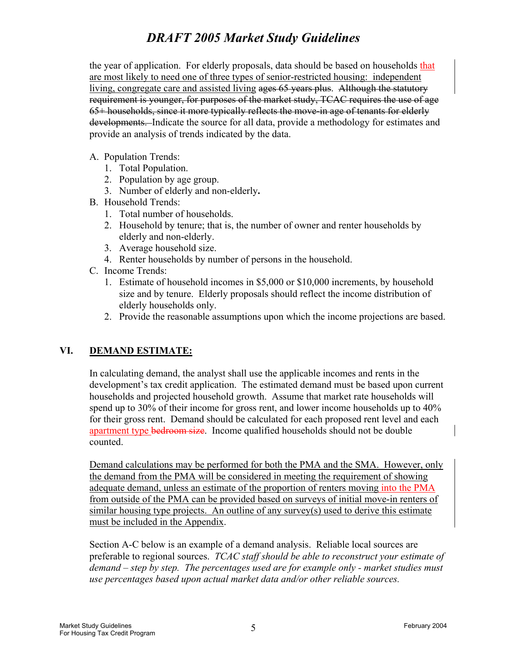the year of application. For elderly proposals, data should be based on households that are most likely to need one of three types of senior-restricted housing: independent living, congregate care and assisted living ages 65 years plus. Although the statutory requirement is younger, for purposes of the market study, TCAC requires the use of age 65+ households, since it more typically reflects the move-in age of tenants for elderly developments. Indicate the source for all data, provide a methodology for estimates and provide an analysis of trends indicated by the data.

- A. Population Trends:
	- 1. Total Population.
	- 2. Population by age group.
	- 3. Number of elderly and non-elderly**.**
- B. Household Trends:
	- 1. Total number of households.
	- 2. Household by tenure; that is, the number of owner and renter households by elderly and non-elderly.
	- 3. Average household size.
	- 4. Renter households by number of persons in the household.
- C. Income Trends:
	- 1. Estimate of household incomes in \$5,000 or \$10,000 increments, by household size and by tenure. Elderly proposals should reflect the income distribution of elderly households only.
	- 2. Provide the reasonable assumptions upon which the income projections are based.

#### **VI. DEMAND ESTIMATE:**

In calculating demand, the analyst shall use the applicable incomes and rents in the development's tax credit application. The estimated demand must be based upon current households and projected household growth. Assume that market rate households will spend up to 30% of their income for gross rent, and lower income households up to 40% for their gross rent. Demand should be calculated for each proposed rent level and each apartment type bedroom size. Income qualified households should not be double counted.

Demand calculations may be performed for both the PMA and the SMA. However, only the demand from the PMA will be considered in meeting the requirement of showing adequate demand, unless an estimate of the proportion of renters moving into the PMA from outside of the PMA can be provided based on surveys of initial move-in renters of similar housing type projects. An outline of any survey(s) used to derive this estimate must be included in the Appendix.

Section A-C below is an example of a demand analysis. Reliable local sources are preferable to regional sources. *TCAC staff should be able to reconstruct your estimate of demand – step by step. The percentages used are for example only - market studies must use percentages based upon actual market data and/or other reliable sources.*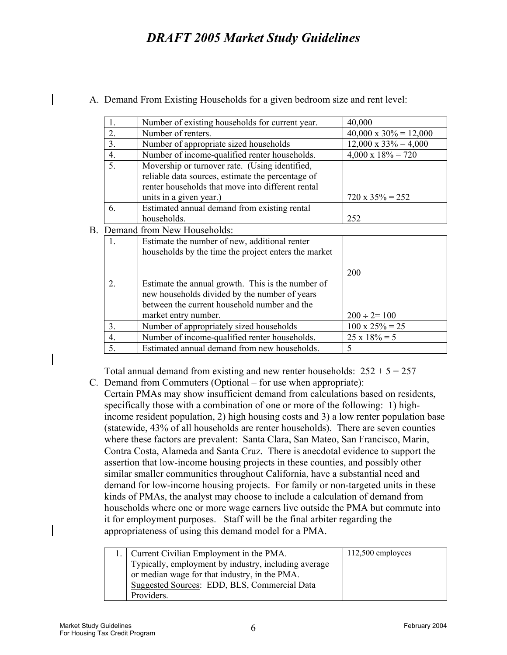|                                   | 1.                                                                | Number of existing households for current year.      | 40,000                        |
|-----------------------------------|-------------------------------------------------------------------|------------------------------------------------------|-------------------------------|
|                                   | 2.<br>Number of renters.                                          |                                                      | $40,000 \times 30\% = 12,000$ |
|                                   | 3.<br>Number of appropriate sized households                      |                                                      | $12,000 \times 33\% = 4,000$  |
|                                   | $\overline{4}$ .<br>Number of income-qualified renter households. |                                                      | $4,000 \times 18\% = 720$     |
|                                   | 5.                                                                | Movership or turnover rate. (Using identified,       |                               |
|                                   |                                                                   | reliable data sources, estimate the percentage of    |                               |
|                                   |                                                                   | renter households that move into different rental    |                               |
|                                   |                                                                   | units in a given year.)                              | $720 \times 35\% = 252$       |
|                                   | 6.                                                                | Estimated annual demand from existing rental         |                               |
|                                   |                                                                   | households.                                          | 252                           |
| Demand from New Households:<br>В. |                                                                   |                                                      |                               |
|                                   | 1.                                                                | Estimate the number of new, additional renter        |                               |
|                                   |                                                                   | households by the time the project enters the market |                               |
|                                   |                                                                   |                                                      |                               |
|                                   |                                                                   |                                                      | 200                           |
|                                   | 2.                                                                | Estimate the annual growth. This is the number of    |                               |
|                                   |                                                                   | new households divided by the number of years        |                               |
|                                   |                                                                   | between the current household number and the         |                               |
|                                   |                                                                   | market entry number.                                 | $200 \div 2 = 100$            |
|                                   | 3.                                                                | Number of appropriately sized households             | $100 \times 25\% = 25$        |
|                                   | 4.                                                                | Number of income-qualified renter households.        | $25 \times 18\% = 5$          |
|                                   | 5.                                                                | Estimated annual demand from new households.         | 5                             |

A. Demand From Existing Households for a given bedroom size and rent level:

Total annual demand from existing and new renter households:  $252 + 5 = 257$ 

C. Demand from Commuters (Optional – for use when appropriate):

Certain PMAs may show insufficient demand from calculations based on residents, specifically those with a combination of one or more of the following: 1) highincome resident population, 2) high housing costs and 3) a low renter population base (statewide, 43% of all households are renter households). There are seven counties where these factors are prevalent: Santa Clara, San Mateo, San Francisco, Marin, Contra Costa, Alameda and Santa Cruz. There is anecdotal evidence to support the assertion that low-income housing projects in these counties, and possibly other similar smaller communities throughout California, have a substantial need and demand for low-income housing projects. For family or non-targeted units in these kinds of PMAs, the analyst may choose to include a calculation of demand from households where one or more wage earners live outside the PMA but commute into it for employment purposes. Staff will be the final arbiter regarding the appropriateness of using this demand model for a PMA.

| 1. Current Civilian Employment in the PMA.           | $112,500$ employees |
|------------------------------------------------------|---------------------|
| Typically, employment by industry, including average |                     |
| or median wage for that industry, in the PMA.        |                     |
| Suggested Sources: EDD, BLS, Commercial Data         |                     |
| Providers.                                           |                     |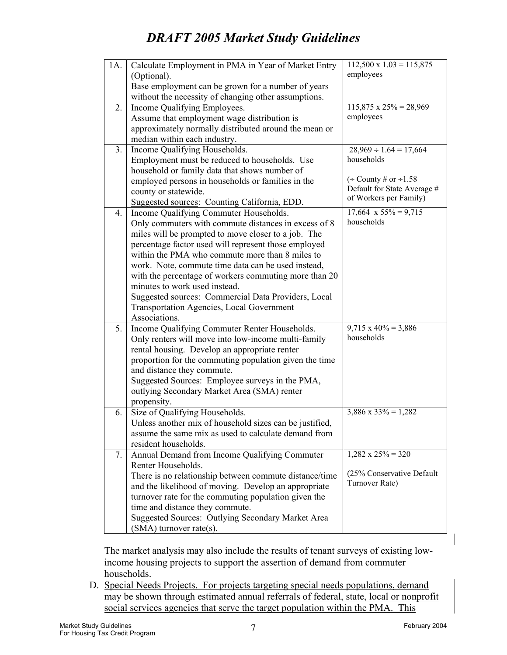| 1A. | Calculate Employment in PMA in Year of Market Entry      | $112,500 \times 1.03 = 115,875$<br>employees           |
|-----|----------------------------------------------------------|--------------------------------------------------------|
|     | (Optional).                                              |                                                        |
|     | Base employment can be grown for a number of years       |                                                        |
|     | without the necessity of changing other assumptions.     |                                                        |
| 2.  | Income Qualifying Employees.                             | $\overline{115,875 \times 25\%} = 28,969$<br>employees |
|     | Assume that employment wage distribution is              |                                                        |
|     | approximately normally distributed around the mean or    |                                                        |
|     | median within each industry.                             |                                                        |
| 3.  | Income Qualifying Households.                            | $28,969 \div 1.64 = 17,664$<br>households              |
|     | Employment must be reduced to households. Use            |                                                        |
|     | household or family data that shows number of            | $\div$ County # or $\div$ 1.58                         |
|     | employed persons in households or families in the        | Default for State Average #                            |
|     | county or statewide.                                     | of Workers per Family)                                 |
|     | Suggested sources: Counting California, EDD.             |                                                        |
| 4.  | Income Qualifying Commuter Households.                   | $17,664 \times 55\% = 9,715$<br>households             |
|     | Only commuters with commute distances in excess of 8     |                                                        |
|     | miles will be prompted to move closer to a job. The      |                                                        |
|     | percentage factor used will represent those employed     |                                                        |
|     | within the PMA who commute more than 8 miles to          |                                                        |
|     | work. Note, commute time data can be used instead,       |                                                        |
|     | with the percentage of workers commuting more than 20    |                                                        |
|     | minutes to work used instead.                            |                                                        |
|     | Suggested sources: Commercial Data Providers, Local      |                                                        |
|     | <b>Transportation Agencies, Local Government</b>         |                                                        |
|     | Associations.                                            |                                                        |
| 5.  | Income Qualifying Commuter Renter Households.            | $9,715 \times 40\% = 3,886$<br>households              |
|     | Only renters will move into low-income multi-family      |                                                        |
|     | rental housing. Develop an appropriate renter            |                                                        |
|     | proportion for the commuting population given the time   |                                                        |
|     | and distance they commute.                               |                                                        |
|     | Suggested Sources: Employee surveys in the PMA,          |                                                        |
|     | outlying Secondary Market Area (SMA) renter              |                                                        |
|     | propensity.                                              |                                                        |
| 6.  | Size of Qualifying Households.                           | $3,886 \times 33\% = 1,282$                            |
|     | Unless another mix of household sizes can be justified,  |                                                        |
|     | assume the same mix as used to calculate demand from     |                                                        |
|     | resident households.                                     |                                                        |
| 7.  | Annual Demand from Income Qualifying Commuter            | $1,282 \times 25\% = 320$                              |
|     | Renter Households.                                       | (25% Conservative Default                              |
|     | There is no relationship between commute distance/time   | Turnover Rate)                                         |
|     | and the likelihood of moving. Develop an appropriate     |                                                        |
|     | turnover rate for the commuting population given the     |                                                        |
|     | time and distance they commute.                          |                                                        |
|     | <b>Suggested Sources: Outlying Secondary Market Area</b> |                                                        |
|     | $(SMA)$ turnover rate(s).                                |                                                        |

The market analysis may also include the results of tenant surveys of existing lowincome housing projects to support the assertion of demand from commuter households.

D. Special Needs Projects. For projects targeting special needs populations, demand may be shown through estimated annual referrals of federal, state, local or nonprofit social services agencies that serve the target population within the PMA. This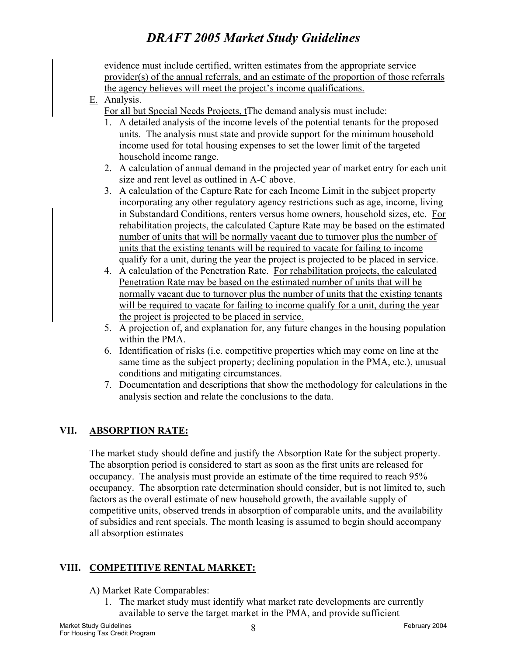evidence must include certified, written estimates from the appropriate service provider(s) of the annual referrals, and an estimate of the proportion of those referrals the agency believes will meet the project's income qualifications.

E. Analysis.

For all but Special Needs Projects, t<sub>The demand analysis must include:</sub>

- 1. A detailed analysis of the income levels of the potential tenants for the proposed units. The analysis must state and provide support for the minimum household income used for total housing expenses to set the lower limit of the targeted household income range.
- 2. A calculation of annual demand in the projected year of market entry for each unit size and rent level as outlined in A-C above.
- 3. A calculation of the Capture Rate for each Income Limit in the subject property incorporating any other regulatory agency restrictions such as age, income, living in Substandard Conditions, renters versus home owners, household sizes, etc. For rehabilitation projects, the calculated Capture Rate may be based on the estimated number of units that will be normally vacant due to turnover plus the number of units that the existing tenants will be required to vacate for failing to income qualify for a unit, during the year the project is projected to be placed in service.
- 4. A calculation of the Penetration Rate. For rehabilitation projects, the calculated Penetration Rate may be based on the estimated number of units that will be normally vacant due to turnover plus the number of units that the existing tenants will be required to vacate for failing to income qualify for a unit, during the year the project is projected to be placed in service.
- 5. A projection of, and explanation for, any future changes in the housing population within the PMA.
- 6. Identification of risks (i.e. competitive properties which may come on line at the same time as the subject property; declining population in the PMA, etc.), unusual conditions and mitigating circumstances.
- 7. Documentation and descriptions that show the methodology for calculations in the analysis section and relate the conclusions to the data.

#### **VII. ABSORPTION RATE:**

The market study should define and justify the Absorption Rate for the subject property. The absorption period is considered to start as soon as the first units are released for occupancy. The analysis must provide an estimate of the time required to reach 95% occupancy. The absorption rate determination should consider, but is not limited to, such factors as the overall estimate of new household growth, the available supply of competitive units, observed trends in absorption of comparable units, and the availability of subsidies and rent specials. The month leasing is assumed to begin should accompany all absorption estimates

#### **VIII. COMPETITIVE RENTAL MARKET:**

#### A) Market Rate Comparables:

1. The market study must identify what market rate developments are currently available to serve the target market in the PMA, and provide sufficient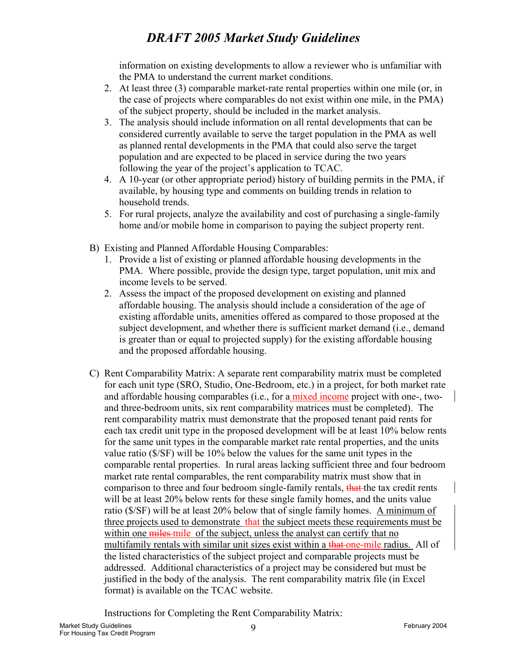information on existing developments to allow a reviewer who is unfamiliar with the PMA to understand the current market conditions.

- 2. At least three (3) comparable market-rate rental properties within one mile (or, in the case of projects where comparables do not exist within one mile, in the PMA) of the subject property, should be included in the market analysis.
- 3. The analysis should include information on all rental developments that can be considered currently available to serve the target population in the PMA as well as planned rental developments in the PMA that could also serve the target population and are expected to be placed in service during the two years following the year of the project's application to TCAC.
- 4. A 10-year (or other appropriate period) history of building permits in the PMA, if available, by housing type and comments on building trends in relation to household trends.
- 5. For rural projects, analyze the availability and cost of purchasing a single-family home and/or mobile home in comparison to paying the subject property rent.
- B) Existing and Planned Affordable Housing Comparables:
	- 1. Provide a list of existing or planned affordable housing developments in the PMA. Where possible, provide the design type, target population, unit mix and income levels to be served.
	- 2. Assess the impact of the proposed development on existing and planned affordable housing. The analysis should include a consideration of the age of existing affordable units, amenities offered as compared to those proposed at the subject development, and whether there is sufficient market demand (i.e., demand is greater than or equal to projected supply) for the existing affordable housing and the proposed affordable housing.
- C) Rent Comparability Matrix: A separate rent comparability matrix must be completed for each unit type (SRO, Studio, One-Bedroom, etc.) in a project, for both market rate and affordable housing comparables (i.e., for a mixed income project with one-, twoand three-bedroom units, six rent comparability matrices must be completed). The rent comparability matrix must demonstrate that the proposed tenant paid rents for each tax credit unit type in the proposed development will be at least 10% below rents for the same unit types in the comparable market rate rental properties, and the units value ratio (\$/SF) will be 10% below the values for the same unit types in the comparable rental properties. In rural areas lacking sufficient three and four bedroom market rate rental comparables, the rent comparability matrix must show that in comparison to three and four bedroom single-family rentals, that the tax credit rents will be at least 20% below rents for these single family homes, and the units value ratio (\$/SF) will be at least 20% below that of single family homes. A minimum of three projects used to demonstrate that the subject meets these requirements must be within one miles-mile of the subject, unless the analyst can certify that no multifamily rentals with similar unit sizes exist within a that one-mile radius. All of the listed characteristics of the subject project and comparable projects must be addressed. Additional characteristics of a project may be considered but must be justified in the body of the analysis. The rent comparability matrix file (in Excel format) is available on the TCAC website.

Instructions for Completing the Rent Comparability Matrix: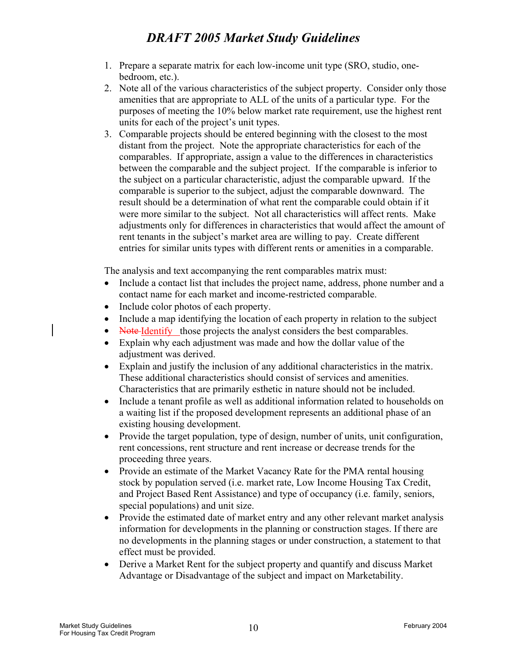- 1. Prepare a separate matrix for each low-income unit type (SRO, studio, onebedroom, etc.).
- 2. Note all of the various characteristics of the subject property. Consider only those amenities that are appropriate to ALL of the units of a particular type. For the purposes of meeting the 10% below market rate requirement, use the highest rent units for each of the project's unit types.
- 3. Comparable projects should be entered beginning with the closest to the most distant from the project. Note the appropriate characteristics for each of the comparables. If appropriate, assign a value to the differences in characteristics between the comparable and the subject project. If the comparable is inferior to the subject on a particular characteristic, adjust the comparable upward. If the comparable is superior to the subject, adjust the comparable downward. The result should be a determination of what rent the comparable could obtain if it were more similar to the subject. Not all characteristics will affect rents. Make adjustments only for differences in characteristics that would affect the amount of rent tenants in the subject's market area are willing to pay. Create different entries for similar units types with different rents or amenities in a comparable.

The analysis and text accompanying the rent comparables matrix must:

- Include a contact list that includes the project name, address, phone number and a contact name for each market and income-restricted comparable.
- Include color photos of each property.
- Include a map identifying the location of each property in relation to the subject
- Note-Identify those projects the analyst considers the best comparables.
- Explain why each adjustment was made and how the dollar value of the adjustment was derived.
- Explain and justify the inclusion of any additional characteristics in the matrix. These additional characteristics should consist of services and amenities. Characteristics that are primarily esthetic in nature should not be included.
- Include a tenant profile as well as additional information related to households on a waiting list if the proposed development represents an additional phase of an existing housing development.
- Provide the target population, type of design, number of units, unit configuration, rent concessions, rent structure and rent increase or decrease trends for the proceeding three years.
- Provide an estimate of the Market Vacancy Rate for the PMA rental housing stock by population served (i.e. market rate, Low Income Housing Tax Credit, and Project Based Rent Assistance) and type of occupancy (i.e. family, seniors, special populations) and unit size.
- Provide the estimated date of market entry and any other relevant market analysis information for developments in the planning or construction stages. If there are no developments in the planning stages or under construction, a statement to that effect must be provided.
- Derive a Market Rent for the subject property and quantify and discuss Market Advantage or Disadvantage of the subject and impact on Marketability.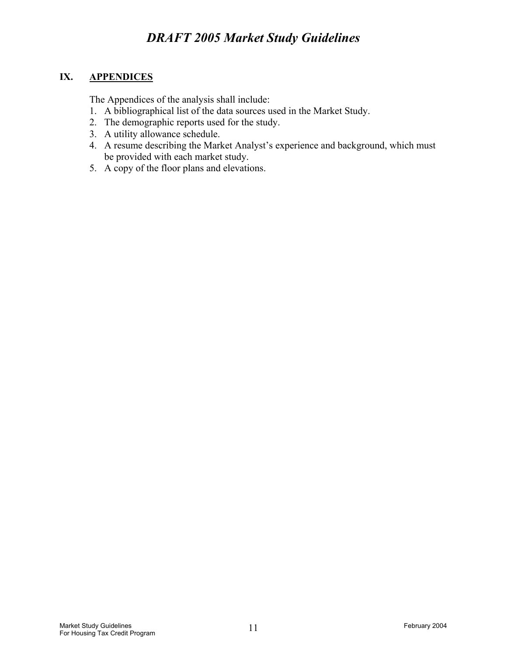#### **IX. APPENDICES**

The Appendices of the analysis shall include:

- 1. A bibliographical list of the data sources used in the Market Study.
- 2. The demographic reports used for the study.
- 3. A utility allowance schedule.
- 4. A resume describing the Market Analyst's experience and background, which must be provided with each market study.
- 5. A copy of the floor plans and elevations.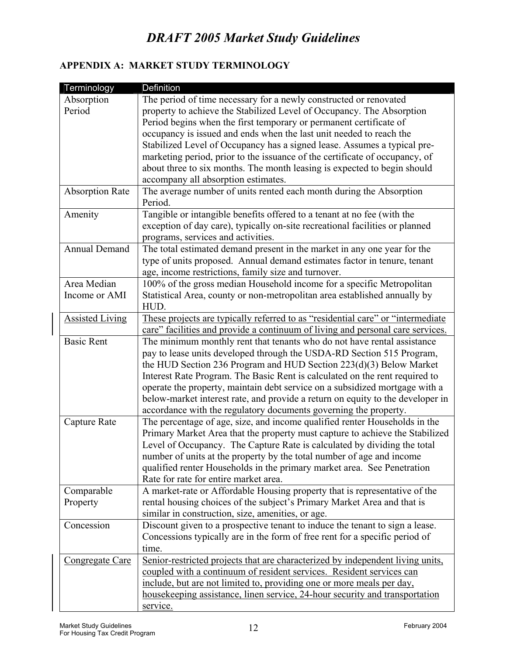#### **APPENDIX A: MARKET STUDY TERMINOLOGY**

| Terminology            | Definition                                                                      |
|------------------------|---------------------------------------------------------------------------------|
| Absorption             | The period of time necessary for a newly constructed or renovated               |
| Period                 | property to achieve the Stabilized Level of Occupancy. The Absorption           |
|                        | Period begins when the first temporary or permanent certificate of              |
|                        | occupancy is issued and ends when the last unit needed to reach the             |
|                        | Stabilized Level of Occupancy has a signed lease. Assumes a typical pre-        |
|                        | marketing period, prior to the issuance of the certificate of occupancy, of     |
|                        | about three to six months. The month leasing is expected to begin should        |
|                        | accompany all absorption estimates.                                             |
| <b>Absorption Rate</b> | The average number of units rented each month during the Absorption             |
|                        | Period.                                                                         |
| Amenity                | Tangible or intangible benefits offered to a tenant at no fee (with the         |
|                        | exception of day care), typically on-site recreational facilities or planned    |
|                        |                                                                                 |
| Annual Demand          | programs, services and activities.                                              |
|                        | The total estimated demand present in the market in any one year for the        |
|                        | type of units proposed. Annual demand estimates factor in tenure, tenant        |
| Area Median            | age, income restrictions, family size and turnover.                             |
|                        | 100% of the gross median Household income for a specific Metropolitan           |
| Income or AMI          | Statistical Area, county or non-metropolitan area established annually by       |
|                        | HUD.                                                                            |
| <b>Assisted Living</b> | These projects are typically referred to as "residential care" or "intermediate |
|                        | care" facilities and provide a continuum of living and personal care services.  |
| <b>Basic Rent</b>      | The minimum monthly rent that tenants who do not have rental assistance         |
|                        | pay to lease units developed through the USDA-RD Section 515 Program,           |
|                        | the HUD Section 236 Program and HUD Section 223(d)(3) Below Market              |
|                        | Interest Rate Program. The Basic Rent is calculated on the rent required to     |
|                        | operate the property, maintain debt service on a subsidized mortgage with a     |
|                        | below-market interest rate, and provide a return on equity to the developer in  |
|                        | accordance with the regulatory documents governing the property.                |
| Capture Rate           | The percentage of age, size, and income qualified renter Households in the      |
|                        | Primary Market Area that the property must capture to achieve the Stabilized    |
|                        | Level of Occupancy. The Capture Rate is calculated by dividing the total        |
|                        | number of units at the property by the total number of age and income           |
|                        | qualified renter Households in the primary market area. See Penetration         |
|                        | Rate for rate for entire market area.                                           |
| Comparable             | A market-rate or Affordable Housing property that is representative of the      |
| Property               | rental housing choices of the subject's Primary Market Area and that is         |
|                        | similar in construction, size, amenities, or age.                               |
| Concession             | Discount given to a prospective tenant to induce the tenant to sign a lease.    |
|                        | Concessions typically are in the form of free rent for a specific period of     |
|                        | time.                                                                           |
| Congregate Care        | Senior-restricted projects that are characterized by independent living units,  |
|                        | coupled with a continuum of resident services. Resident services can            |
|                        | include, but are not limited to, providing one or more meals per day,           |
|                        | housekeeping assistance, linen service, 24-hour security and transportation     |
|                        | service.                                                                        |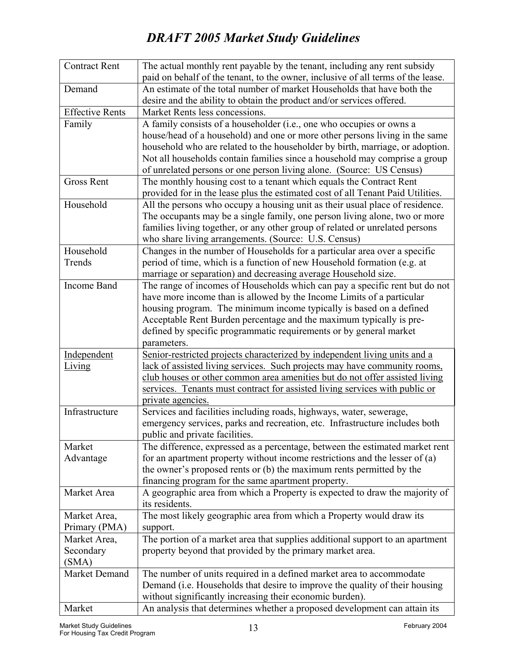| <b>Contract Rent</b>   | The actual monthly rent payable by the tenant, including any rent subsidy                                                                                |
|------------------------|----------------------------------------------------------------------------------------------------------------------------------------------------------|
|                        | paid on behalf of the tenant, to the owner, inclusive of all terms of the lease.                                                                         |
| Demand                 | An estimate of the total number of market Households that have both the                                                                                  |
|                        | desire and the ability to obtain the product and/or services offered.                                                                                    |
| <b>Effective Rents</b> | Market Rents less concessions.                                                                                                                           |
| Family                 | A family consists of a householder (i.e., one who occupies or owns a                                                                                     |
|                        | house/head of a household) and one or more other persons living in the same                                                                              |
|                        | household who are related to the householder by birth, marriage, or adoption.                                                                            |
|                        | Not all households contain families since a household may comprise a group                                                                               |
|                        | of unrelated persons or one person living alone. (Source: US Census)                                                                                     |
| <b>Gross Rent</b>      | The monthly housing cost to a tenant which equals the Contract Rent                                                                                      |
|                        | provided for in the lease plus the estimated cost of all Tenant Paid Utilities.                                                                          |
| Household              | All the persons who occupy a housing unit as their usual place of residence.                                                                             |
|                        | The occupants may be a single family, one person living alone, two or more                                                                               |
|                        | families living together, or any other group of related or unrelated persons                                                                             |
|                        | who share living arrangements. (Source: U.S. Census)                                                                                                     |
| Household              | Changes in the number of Households for a particular area over a specific                                                                                |
| Trends                 | period of time, which is a function of new Household formation (e.g. at                                                                                  |
|                        | marriage or separation) and decreasing average Household size.                                                                                           |
| Income Band            | The range of incomes of Households which can pay a specific rent but do not                                                                              |
|                        | have more income than is allowed by the Income Limits of a particular                                                                                    |
|                        | housing program. The minimum income typically is based on a defined                                                                                      |
|                        | Acceptable Rent Burden percentage and the maximum typically is pre-                                                                                      |
|                        | defined by specific programmatic requirements or by general market                                                                                       |
|                        | parameters.                                                                                                                                              |
| Independent            | Senior-restricted projects characterized by independent living units and a                                                                               |
| Living                 | lack of assisted living services. Such projects may have community rooms,<br>club houses or other common area amenities but do not offer assisted living |
|                        | services. Tenants must contract for assisted living services with public or                                                                              |
|                        | private agencies.                                                                                                                                        |
| Infrastructure         | Services and facilities including roads, highways, water, sewerage,                                                                                      |
|                        | emergency services, parks and recreation, etc. Infrastructure includes both                                                                              |
|                        | public and private facilities.                                                                                                                           |
| Market                 | The difference, expressed as a percentage, between the estimated market rent                                                                             |
| Advantage              | for an apartment property without income restrictions and the lesser of $(a)$                                                                            |
|                        | the owner's proposed rents or (b) the maximum rents permitted by the                                                                                     |
|                        | financing program for the same apartment property.                                                                                                       |
| Market Area            | A geographic area from which a Property is expected to draw the majority of                                                                              |
|                        | its residents.                                                                                                                                           |
| Market Area,           | The most likely geographic area from which a Property would draw its                                                                                     |
| Primary (PMA)          | support.                                                                                                                                                 |
| Market Area,           | The portion of a market area that supplies additional support to an apartment                                                                            |
| Secondary              | property beyond that provided by the primary market area.                                                                                                |
| (SMA)                  |                                                                                                                                                          |
| Market Demand          | The number of units required in a defined market area to accommodate                                                                                     |
|                        | Demand (i.e. Households that desire to improve the quality of their housing                                                                              |
|                        | without significantly increasing their economic burden).                                                                                                 |
| Market                 | An analysis that determines whether a proposed development can attain its                                                                                |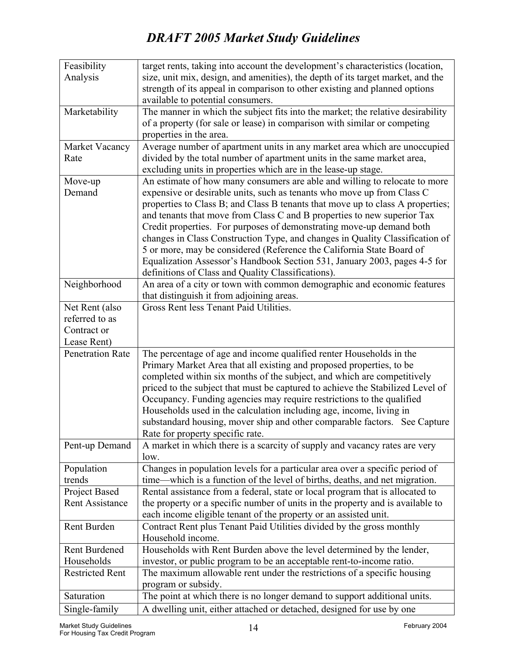| Feasibility             | target rents, taking into account the development's characteristics (location,  |
|-------------------------|---------------------------------------------------------------------------------|
| Analysis                | size, unit mix, design, and amenities), the depth of its target market, and the |
|                         | strength of its appeal in comparison to other existing and planned options      |
|                         | available to potential consumers.                                               |
| Marketability           | The manner in which the subject fits into the market; the relative desirability |
|                         | of a property (for sale or lease) in comparison with similar or competing       |
|                         | properties in the area.                                                         |
| Market Vacancy          | Average number of apartment units in any market area which are unoccupied       |
| Rate                    | divided by the total number of apartment units in the same market area,         |
|                         | excluding units in properties which are in the lease-up stage.                  |
| Move-up                 | An estimate of how many consumers are able and willing to relocate to more      |
| Demand                  | expensive or desirable units, such as tenants who move up from Class C          |
|                         | properties to Class B; and Class B tenants that move up to class A properties;  |
|                         | and tenants that move from Class C and B properties to new superior Tax         |
|                         | Credit properties. For purposes of demonstrating move-up demand both            |
|                         | changes in Class Construction Type, and changes in Quality Classification of    |
|                         | 5 or more, may be considered (Reference the California State Board of           |
|                         | Equalization Assessor's Handbook Section 531, January 2003, pages 4-5 for       |
|                         | definitions of Class and Quality Classifications).                              |
| Neighborhood            | An area of a city or town with common demographic and economic features         |
|                         | that distinguish it from adjoining areas.                                       |
| Net Rent (also          | Gross Rent less Tenant Paid Utilities.                                          |
| referred to as          |                                                                                 |
| Contract or             |                                                                                 |
| Lease Rent)             |                                                                                 |
| <b>Penetration Rate</b> | The percentage of age and income qualified renter Households in the             |
|                         | Primary Market Area that all existing and proposed properties, to be            |
|                         | completed within six months of the subject, and which are competitively         |
|                         | priced to the subject that must be captured to achieve the Stabilized Level of  |
|                         | Occupancy. Funding agencies may require restrictions to the qualified           |
|                         | Households used in the calculation including age, income, living in             |
|                         | substandard housing, mover ship and other comparable factors. See Capture       |
|                         | Rate for property specific rate.                                                |
| Pent-up Demand          | A market in which there is a scarcity of supply and vacancy rates are very      |
|                         | low.                                                                            |
| Population              | Changes in population levels for a particular area over a specific period of    |
| trends                  | time—which is a function of the level of births, deaths, and net migration.     |
| Project Based           | Rental assistance from a federal, state or local program that is allocated to   |
| <b>Rent Assistance</b>  | the property or a specific number of units in the property and is available to  |
|                         | each income eligible tenant of the property or an assisted unit.                |
| Rent Burden             | Contract Rent plus Tenant Paid Utilities divided by the gross monthly           |
|                         | Household income.                                                               |
| <b>Rent Burdened</b>    | Households with Rent Burden above the level determined by the lender,           |
| Households              | investor, or public program to be an acceptable rent-to-income ratio.           |
| <b>Restricted Rent</b>  | The maximum allowable rent under the restrictions of a specific housing         |
|                         | program or subsidy.                                                             |
| Saturation              | The point at which there is no longer demand to support additional units.       |
| Single-family           | A dwelling unit, either attached or detached, designed for use by one           |